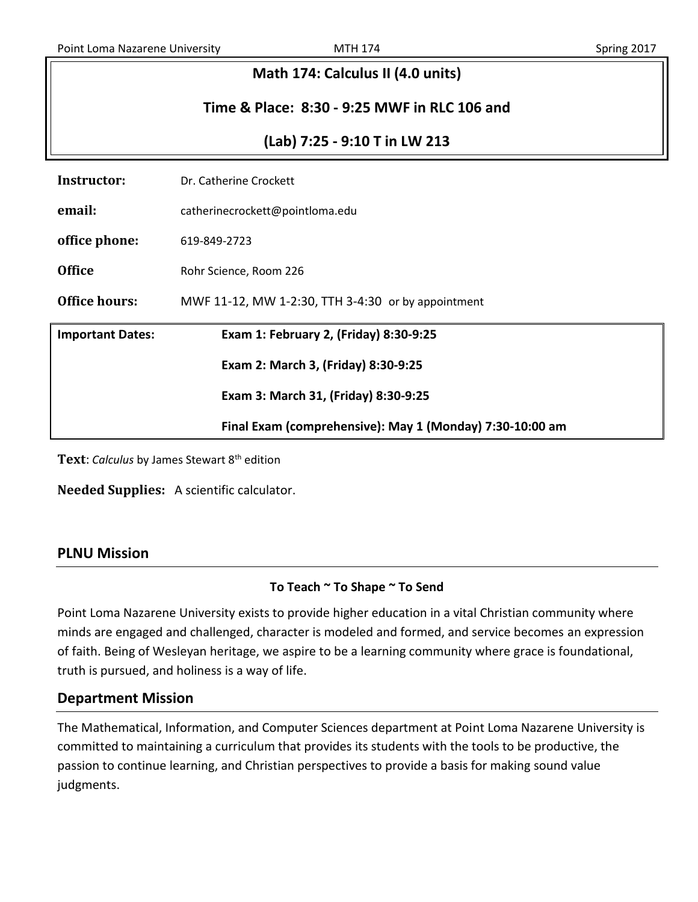| Math 174: Calculus II (4.0 units)            |                                                          |  |  |  |
|----------------------------------------------|----------------------------------------------------------|--|--|--|
| Time & Place: 8:30 - 9:25 MWF in RLC 106 and |                                                          |  |  |  |
| (Lab) 7:25 - 9:10 T in LW 213                |                                                          |  |  |  |
| <b>Instructor:</b>                           | Dr. Catherine Crockett                                   |  |  |  |
| email:                                       | catherinecrockett@pointloma.edu                          |  |  |  |
| office phone:                                | 619-849-2723                                             |  |  |  |
| <b>Office</b>                                | Rohr Science, Room 226                                   |  |  |  |
| <b>Office hours:</b>                         | MWF 11-12, MW 1-2:30, TTH 3-4:30 or by appointment       |  |  |  |
| <b>Important Dates:</b>                      | Exam 1: February 2, (Friday) 8:30-9:25                   |  |  |  |
|                                              | Exam 2: March 3, (Friday) 8:30-9:25                      |  |  |  |
| Exam 3: March 31, (Friday) 8:30-9:25         |                                                          |  |  |  |
|                                              | Final Exam (comprehensive): May 1 (Monday) 7:30-10:00 am |  |  |  |
|                                              |                                                          |  |  |  |

Text: *Calculus* by James Stewart 8<sup>th</sup> edition

**Needed Supplies:** A scientific calculator.

## **PLNU Mission**

#### **To Teach ~ To Shape ~ To Send**

Point Loma Nazarene University exists to provide higher education in a vital Christian community where minds are engaged and challenged, character is modeled and formed, and service becomes an expression of faith. Being of Wesleyan heritage, we aspire to be a learning community where grace is foundational, truth is pursued, and holiness is a way of life.

## **Department Mission**

The Mathematical, Information, and Computer Sciences department at Point Loma Nazarene University is committed to maintaining a curriculum that provides its students with the tools to be productive, the passion to continue learning, and Christian perspectives to provide a basis for making sound value judgments.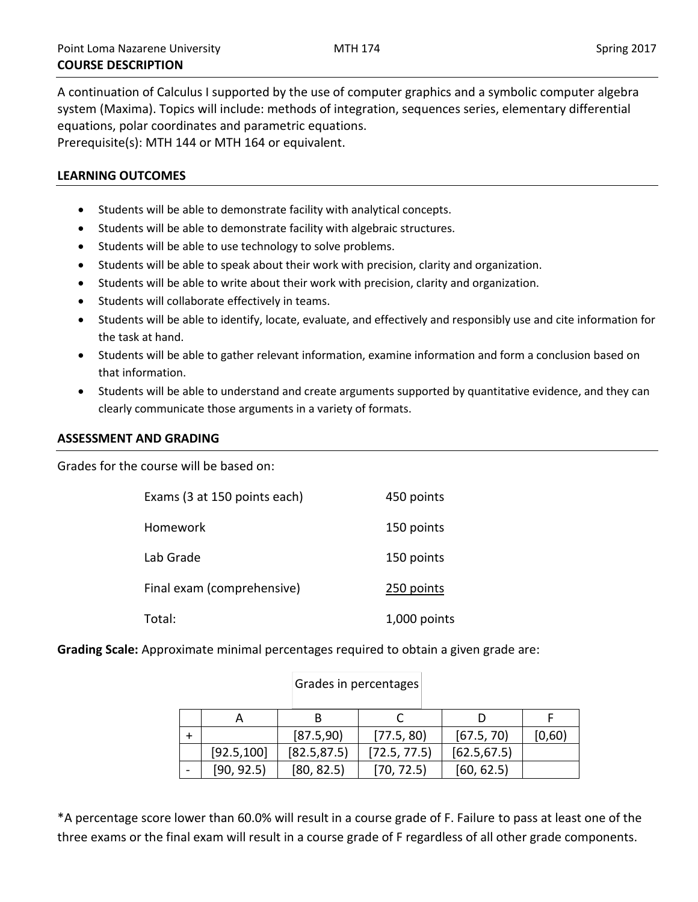A continuation of Calculus I supported by the use of computer graphics and a symbolic computer algebra system (Maxima). Topics will include: methods of integration, sequences series, elementary differential equations, polar coordinates and parametric equations. Prerequisite(s): MTH 144 or MTH 164 or equivalent.

#### **LEARNING OUTCOMES**

- Students will be able to demonstrate facility with analytical concepts.
- Students will be able to demonstrate facility with algebraic structures.
- Students will be able to use technology to solve problems.
- Students will be able to speak about their work with precision, clarity and organization.
- Students will be able to write about their work with precision, clarity and organization.
- Students will collaborate effectively in teams.
- Students will be able to identify, locate, evaluate, and effectively and responsibly use and cite information for the task at hand.
- Students will be able to gather relevant information, examine information and form a conclusion based on that information.
- Students will be able to understand and create arguments supported by quantitative evidence, and they can clearly communicate those arguments in a variety of formats.

#### **ASSESSMENT AND GRADING**

Grades for the course will be based on:

| Exams (3 at 150 points each) | 450 points   |
|------------------------------|--------------|
| Homework                     | 150 points   |
| Lab Grade                    | 150 points   |
| Final exam (comprehensive)   | 250 points   |
| Total:                       | 1,000 points |

**Grading Scale:** Approximate minimal percentages required to obtain a given grade are:

|             | [87.5,90]    | [77.5, 80]   | [67.5, 70]   | [0,60) |
|-------------|--------------|--------------|--------------|--------|
| [92.5, 100] | [82.5, 87.5] | [72.5, 77.5] | [62.5, 67.5] |        |
| [90, 92.5]  | [80, 82.5]   | [70, 72.5]   | [60, 62.5]   |        |

#### Grades in percentages

\*A percentage score lower than 60.0% will result in a course grade of F. Failure to pass at least one of the three exams or the final exam will result in a course grade of F regardless of all other grade components.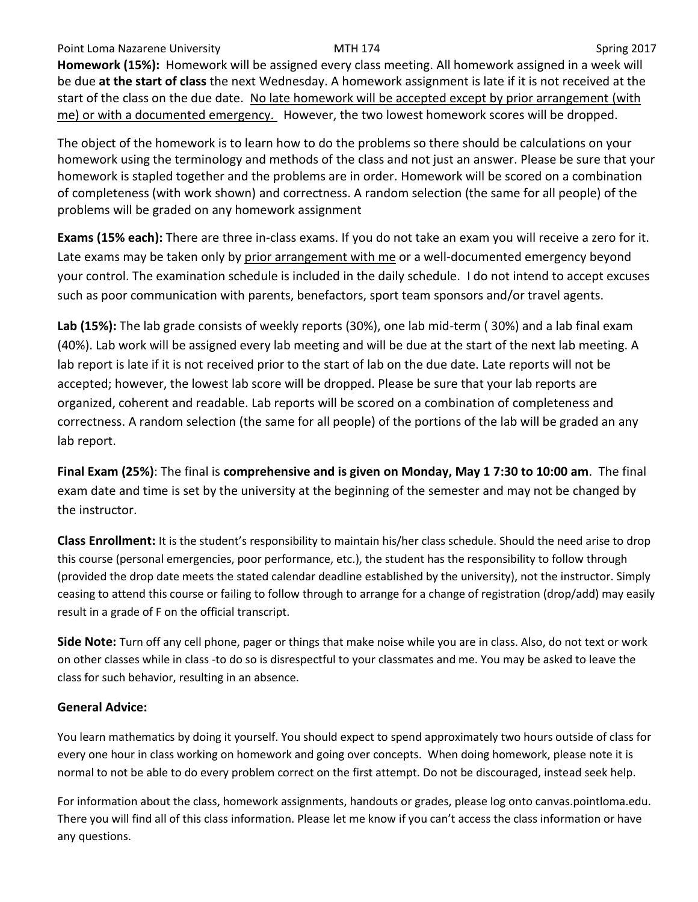Point Loma Nazarene University **MTH 174** NOST 100 Spring 2017 **Homework (15%):** Homework will be assigned every class meeting. All homework assigned in a week will be due **at the start of class** the next Wednesday. A homework assignment is late if it is not received at the start of the class on the due date. No late homework will be accepted except by prior arrangement (with me) or with a documented emergency. However, the two lowest homework scores will be dropped.

The object of the homework is to learn how to do the problems so there should be calculations on your homework using the terminology and methods of the class and not just an answer. Please be sure that your homework is stapled together and the problems are in order. Homework will be scored on a combination of completeness (with work shown) and correctness. A random selection (the same for all people) of the problems will be graded on any homework assignment

**Exams (15% each):** There are three in-class exams. If you do not take an exam you will receive a zero for it. Late exams may be taken only by prior arrangement with me or a well-documented emergency beyond your control. The examination schedule is included in the daily schedule. I do not intend to accept excuses such as poor communication with parents, benefactors, sport team sponsors and/or travel agents.

**Lab (15%):** The lab grade consists of weekly reports (30%), one lab mid-term ( 30%) and a lab final exam (40%). Lab work will be assigned every lab meeting and will be due at the start of the next lab meeting. A lab report is late if it is not received prior to the start of lab on the due date. Late reports will not be accepted; however, the lowest lab score will be dropped. Please be sure that your lab reports are organized, coherent and readable. Lab reports will be scored on a combination of completeness and correctness. A random selection (the same for all people) of the portions of the lab will be graded an any lab report.

**Final Exam (25%)**: The final is **comprehensive and is given on Monday, May 1 7:30 to 10:00 am**. The final exam date and time is set by the university at the beginning of the semester and may not be changed by the instructor.

**Class Enrollment:** It is the student's responsibility to maintain his/her class schedule. Should the need arise to drop this course (personal emergencies, poor performance, etc.), the student has the responsibility to follow through (provided the drop date meets the stated calendar deadline established by the university), not the instructor. Simply ceasing to attend this course or failing to follow through to arrange for a change of registration (drop/add) may easily result in a grade of F on the official transcript.

**Side Note:** Turn off any cell phone, pager or things that make noise while you are in class. Also, do not text or work on other classes while in class -to do so is disrespectful to your classmates and me. You may be asked to leave the class for such behavior, resulting in an absence.

# **General Advice:**

You learn mathematics by doing it yourself. You should expect to spend approximately two hours outside of class for every one hour in class working on homework and going over concepts. When doing homework, please note it is normal to not be able to do every problem correct on the first attempt. Do not be discouraged, instead seek help.

For information about the class, homework assignments, handouts or grades, please log onto canvas.pointloma.edu. There you will find all of this class information. Please let me know if you can't access the class information or have any questions.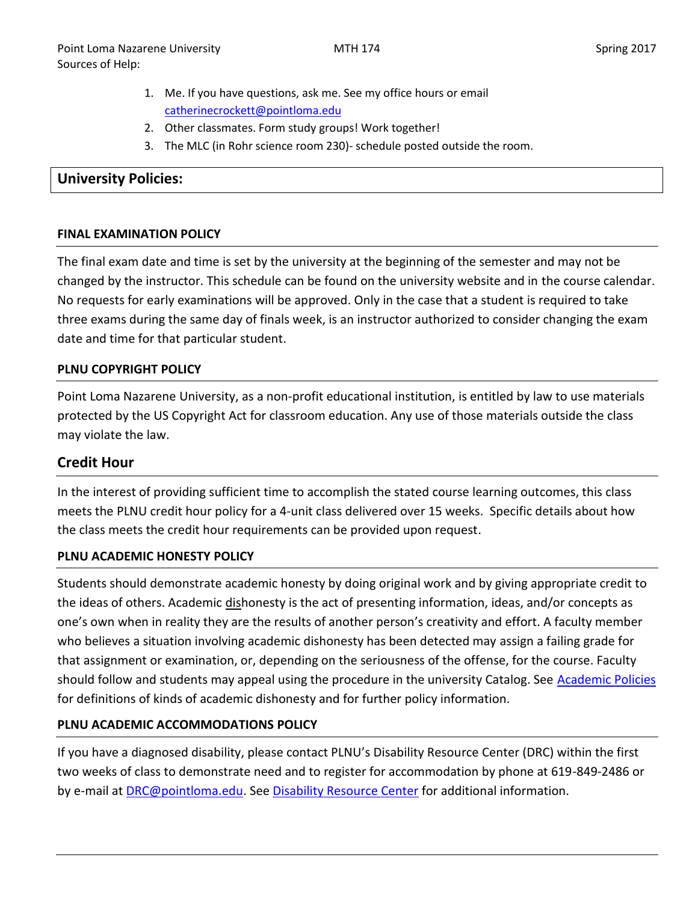- 1. Me. If you have questions, ask me. See my office hours or email [catherinecrockett@pointloma.edu](mailto:catherinecrockett@pointloma.edu)
- 2. Other classmates. Form study groups! Work together!
- 3. The MLC (in Rohr science room 230)- schedule posted outside the room.

### **University Policies:**

#### **FINAL EXAMINATION POLICY**

The final exam date and time is set by the university at the beginning of the semester and may not be changed by the instructor. This schedule can be found on the university website and in the course calendar. No requests for early examinations will be approved. Only in the case that a student is required to take three exams during the same day of finals week, is an instructor authorized to consider changing the exam date and time for that particular student.

#### **PLNU COPYRIGHT POLICY**

Point Loma Nazarene University, as a non-profit educational institution, is entitled by law to use materials protected by the US Copyright Act for classroom education. Any use of those materials outside the class may violate the law.

## **Credit Hour**

In the interest of providing sufficient time to accomplish the stated course learning outcomes, this class meets the PLNU credit hour policy for a 4-unit class delivered over 15 weeks. Specific details about how the class meets the credit hour requirements can be provided upon request.

#### **PLNU ACADEMIC HONESTY POLICY**

Students should demonstrate academic honesty by doing original work and by giving appropriate credit to the ideas of others. Academic dishonesty is the act of presenting information, ideas, and/or concepts as one's own when in reality they are the results of another person's creativity and effort. A faculty member who believes a situation involving academic dishonesty has been detected may assign a failing grade for that assignment or examination, or, depending on the seriousness of the offense, for the course. Faculty should follow and students may appeal using the procedure in the university Catalog. See **Academic Policies** for definitions of kinds of academic dishonesty and for further policy information.

## **PLNU ACADEMIC ACCOMMODATIONS POLICY**

If you have a diagnosed disability, please contact PLNU's Disability Resource Center (DRC) within the first two weeks of class to demonstrate need and to register for accommodation by phone at 619-849-2486 or by e-mail at [DRC@pointloma.edu.](mailto:DRC@pointloma.edu) See [Disability Resource Center](http://www.pointloma.edu/experience/offices/administrative-offices/academic-advising-office/disability-resource-center) for additional information.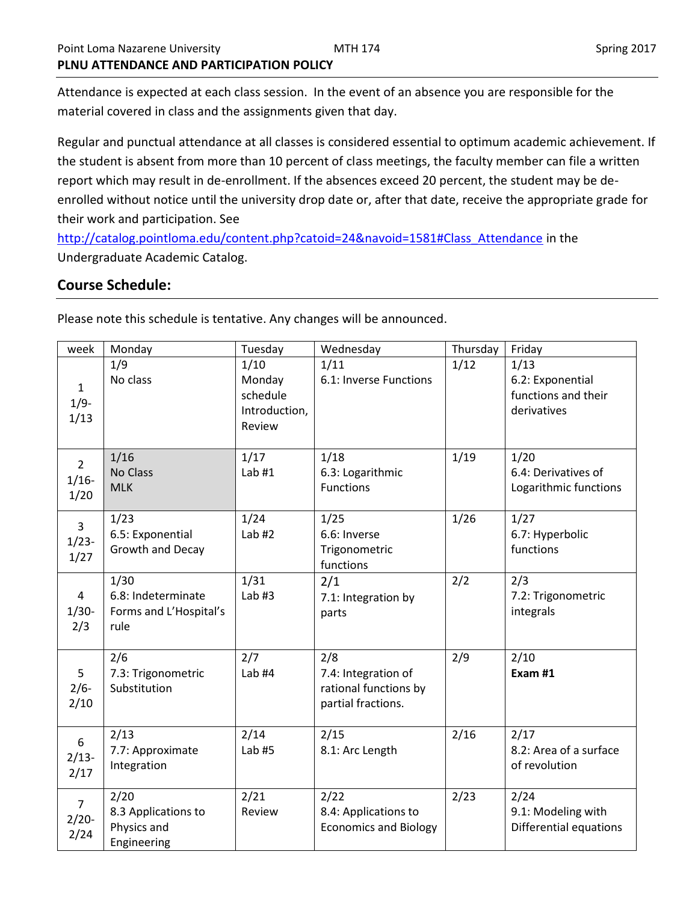Attendance is expected at each class session. In the event of an absence you are responsible for the material covered in class and the assignments given that day.

Regular and punctual attendance at all classes is considered essential to optimum academic achievement. If the student is absent from more than 10 percent of class meetings, the faculty member can file a written report which may result in de-enrollment. If the absences exceed 20 percent, the student may be deenrolled without notice until the university drop date or, after that date, receive the appropriate grade for their work and participation. See

[http://catalog.pointloma.edu/content.php?catoid=24&navoid=1581#Class\\_Attendance](http://catalog.pointloma.edu/content.php?catoid=24&navoid=1581#Class_Attendance) in the Undergraduate Academic Catalog.

# **Course Schedule:**

Please note this schedule is tentative. Any changes will be announced.

| week                              | Monday                                                       | Tuesday                                               | Wednesday                                                                 | Thursday | Friday                                                         |
|-----------------------------------|--------------------------------------------------------------|-------------------------------------------------------|---------------------------------------------------------------------------|----------|----------------------------------------------------------------|
| $\mathbf{1}$<br>$1/9-$<br>1/13    | 1/9<br>No class                                              | 1/10<br>Monday<br>schedule<br>Introduction,<br>Review | 1/11<br>6.1: Inverse Functions                                            | 1/12     | 1/13<br>6.2: Exponential<br>functions and their<br>derivatives |
| $\overline{2}$<br>$1/16-$<br>1/20 | 1/16<br>No Class<br><b>MLK</b>                               | 1/17<br>Lab $#1$                                      | 1/18<br>6.3: Logarithmic<br><b>Functions</b>                              | 1/19     | 1/20<br>6.4: Derivatives of<br>Logarithmic functions           |
| $\overline{3}$<br>$1/23-$<br>1/27 | 1/23<br>6.5: Exponential<br>Growth and Decay                 | 1/24<br>Lab $#2$                                      | 1/25<br>6.6: Inverse<br>Trigonometric<br>functions                        | 1/26     | 1/27<br>6.7: Hyperbolic<br>functions                           |
| 4<br>$1/30-$<br>2/3               | 1/30<br>6.8: Indeterminate<br>Forms and L'Hospital's<br>rule | 1/31<br>Lab $#3$                                      | 2/1<br>7.1: Integration by<br>parts                                       | 2/2      | 2/3<br>7.2: Trigonometric<br>integrals                         |
| 5<br>$2/6-$<br>2/10               | 2/6<br>7.3: Trigonometric<br>Substitution                    | 2/7<br>Lab $#4$                                       | 2/8<br>7.4: Integration of<br>rational functions by<br>partial fractions. | 2/9      | 2/10<br>Exam #1                                                |
| 6<br>$2/13-$<br>2/17              | 2/13<br>7.7: Approximate<br>Integration                      | 2/14<br>Lab $#5$                                      | 2/15<br>8.1: Arc Length                                                   | 2/16     | 2/17<br>8.2: Area of a surface<br>of revolution                |
| $\overline{7}$<br>$2/20-$<br>2/24 | 2/20<br>8.3 Applications to<br>Physics and<br>Engineering    | 2/21<br>Review                                        | 2/22<br>8.4: Applications to<br><b>Economics and Biology</b>              | 2/23     | 2/24<br>9.1: Modeling with<br>Differential equations           |